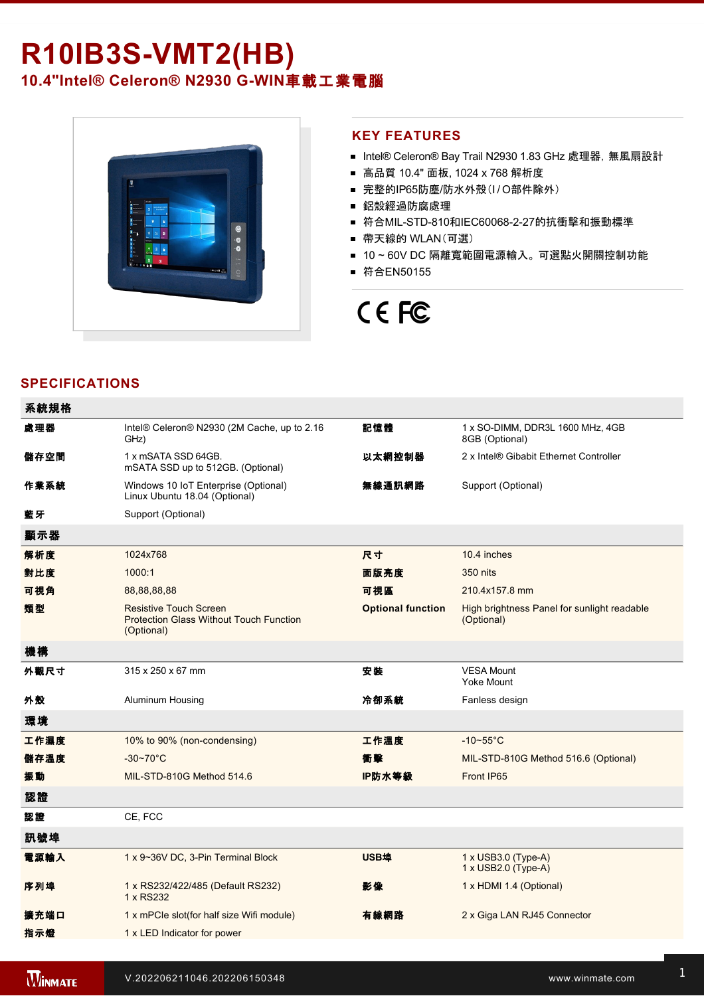# **R10IB3SVMT2(HB)**

10.4"Intel® Celeron® N2930 G-WIN車載工業電腦



### **KEY FEATURES**

- Intel® Celeron® Bay Trail N2930 1.83 GHz 處理器, 無風扇設計
- 高品質 10.4" 面板, 1024 x 768 解析度
- 完整的IP65防塵/防水外殼(I/O部件除外)
- 鋁殼經過防腐處理
- 符合MIL-STD-810和IEC60068-2-27的抗衝擊和振動標準
- 帶天線的 WLAN(可選)
- 10~60V DC 隔離寬範圍電源輸入。 可選點火開關控制功能
- 符合EN50155

## CE FC

## **SPECIFICATIONS**

| 系統規格 |                                                                                               |                          |                                                           |
|------|-----------------------------------------------------------------------------------------------|--------------------------|-----------------------------------------------------------|
| 處理器  | Intel® Celeron® N2930 (2M Cache, up to 2.16<br>GHz)                                           | 記憶體                      | 1 x SO-DIMM, DDR3L 1600 MHz, 4GB<br>8GB (Optional)        |
| 儲存空間 | 1 x mSATA SSD 64GB.<br>mSATA SSD up to 512GB. (Optional)                                      | 以太網控制器                   | 2 x Intel® Gibabit Ethernet Controller                    |
| 作業系統 | Windows 10 IoT Enterprise (Optional)<br>Linux Ubuntu 18.04 (Optional)                         | 無線通訊網路                   | Support (Optional)                                        |
| 藍牙   | Support (Optional)                                                                            |                          |                                                           |
| 顯示器  |                                                                                               |                          |                                                           |
| 解析度  | 1024x768                                                                                      | 尺寸                       | 10.4 inches                                               |
| 對比度  | 1000:1                                                                                        | 面版亮度                     | 350 nits                                                  |
| 可視角  | 88,88,88,88                                                                                   | 可視區                      | 210.4x157.8 mm                                            |
| 類型   | <b>Resistive Touch Screen</b><br><b>Protection Glass Without Touch Function</b><br>(Optional) | <b>Optional function</b> | High brightness Panel for sunlight readable<br>(Optional) |
| 機構   |                                                                                               |                          |                                                           |
| 外觀尺寸 | 315 x 250 x 67 mm                                                                             | 安裝                       | <b>VESA Mount</b><br>Yoke Mount                           |
| 外殼   | Aluminum Housing                                                                              | 冷卻系統                     | Fanless design                                            |
| 環境   |                                                                                               |                          |                                                           |
| 工作濕度 | 10% to 90% (non-condensing)                                                                   | 工作溫度                     | $-10-55$ °C                                               |
| 儲存溫度 | $-30 - 70^{\circ}C$                                                                           | 衝擊                       | MIL-STD-810G Method 516.6 (Optional)                      |
| 振動   | MIL-STD-810G Method 514.6                                                                     | IP防水等級                   | Front IP65                                                |
| 認證   |                                                                                               |                          |                                                           |
| 認證   | CE, FCC                                                                                       |                          |                                                           |
| 訊號埠  |                                                                                               |                          |                                                           |
| 電源輸入 | 1 x 9~36V DC, 3-Pin Terminal Block                                                            | USB埠                     | $1 \times$ USB3.0 (Type-A)<br>1 x USB2.0 (Type-A)         |
| 序列埠  | 1 x RS232/422/485 (Default RS232)<br>1 x RS232                                                | 影像                       | 1 x HDMI 1.4 (Optional)                                   |
| 擴充端口 | 1 x mPCle slot(for half size Wifi module)                                                     | 有線網路                     | 2 x Giga LAN RJ45 Connector                               |
| 指示燈  | 1 x LED Indicator for power                                                                   |                          |                                                           |
|      |                                                                                               |                          |                                                           |

控制

1 x Reset Button and The Reset Button